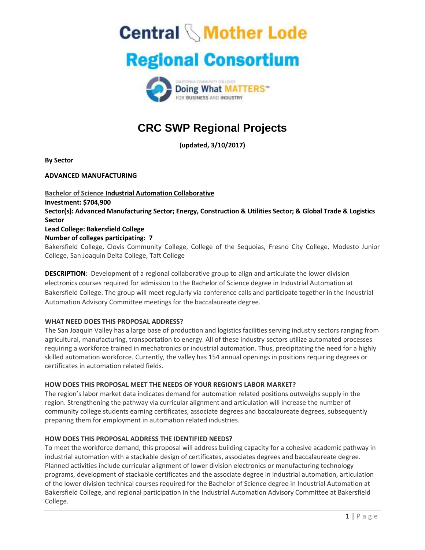**Central \Mother Lode** 

# **Regional Consortium**



## **CRC SWP Regional Projects**

**(updated, 3/10/2017)** 

**By Sector** 

## **ADVANCED MANUFACTURING**

**Bachelor of Science Industrial Automation Collaborative Investment: \$704,900 Sector(s): Advanced Manufacturing Sector; Energy, Construction & Utilities Sector; & Global Trade & Logistics Sector Lead College: Bakersfield College Number of colleges participating: 7**  Bakersfield College, Clovis Community College, College of the Sequoias, Fresno City College, Modesto Junior College, San Joaquin Delta College, Taft College

**DESCRIPTION**: Development of a regional collaborative group to align and articulate the lower division electronics courses required for admission to the Bachelor of Science degree in Industrial Automation at Bakersfield College. The group will meet regularly via conference calls and participate together in the Industrial Automation Advisory Committee meetings for the baccalaureate degree.

## **WHAT NEED DOES THIS PROPOSAL ADDRESS?**

The San Joaquin Valley has a large base of production and logistics facilities serving industry sectors ranging from agricultural, manufacturing, transportation to energy. All of these industry sectors utilize automated processes requiring a workforce trained in mechatronics or industrial automation. Thus, precipitating the need for a highly skilled automation workforce. Currently, the valley has 154 annual openings in positions requiring degrees or certificates in automation related fields.

#### **HOW DOES THIS PROPOSAL MEET THE NEEDS OF YOUR REGION'S LABOR MARKET?**

The region's labor market data indicates demand for automation related positions outweighs supply in the region. Strengthening the pathway via curricular alignment and articulation will increase the number of community college students earning certificates, associate degrees and baccalaureate degrees, subsequently preparing them for employment in automation related industries.

## **HOW DOES THIS PROPOSAL ADDRESS THE IDENTIFIED NEEDS?**

To meet the workforce demand, this proposal will address building capacity for a cohesive academic pathway in industrial automation with a stackable design of certificates, associates degrees and baccalaureate degree. Planned activities include curricular alignment of lower division electronics or manufacturing technology programs, development of stackable certificates and the associate degree in industrial automation, articulation of the lower division technical courses required for the Bachelor of Science degree in Industrial Automation at Bakersfield College, and regional participation in the Industrial Automation Advisory Committee at Bakersfield College.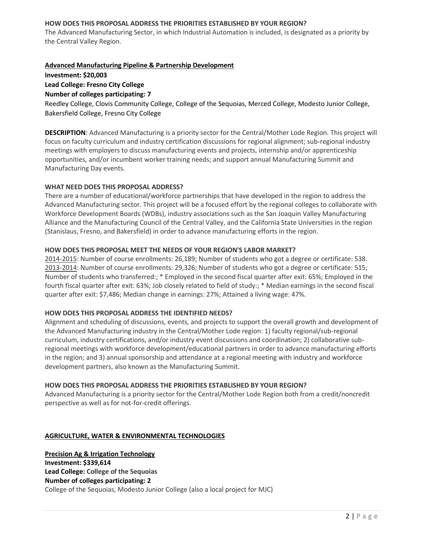### **HOW DOES THIS PROPOSAL ADDRESS THE PRIORITIES ESTABLISHED BY YOUR REGION?**

The Advanced Manufacturing Sector, in which Industrial Automation is included, is designated as a priority by the Central Valley Region.

### **Advanced Manufacturing Pipeline & Partnership Development**

**Investment: \$20,003** 

### **Lead College: Fresno City College**

### **Number of colleges participating: 7**

Reedley College, Clovis Community College, College of the Sequoias, Merced College, Modesto Junior College, Bakersfield College, Fresno City College

**DESCRIPTION**: Advanced Manufacturing is a priority sector for the Central/Mother Lode Region. This project will focus on faculty curriculum and industry certification discussions for regional alignment; sub-regional industry meetings with employers to discuss manufacturing events and projects, internship and/or apprenticeship opportunities, and/or incumbent worker training needs; and support annual Manufacturing Summit and Manufacturing Day events.

### **WHAT NEED DOES THIS PROPOSAL ADDRESS?**

There are a number of educational/workforce partnerships that have developed in the region to address the Advanced Manufacturing sector. This project will be a focused effort by the regional colleges to collaborate with Workforce Development Boards (WDBs), industry associations such as the San Joaquin Valley Manufacturing Alliance and the Manufacturing Council of the Central Valley, and the California State Universities in the region (Stanislaus, Fresno, and Bakersfield) in order to advance manufacturing efforts in the region.

#### **HOW DOES THIS PROPOSAL MEET THE NEEDS OF YOUR REGION'S LABOR MARKET?**

2014-2015: Number of course enrollments: 26,189; Number of students who got a degree or certificate: 538. 2013-2014: Number of course enrollments: 29,326; Number of students who got a degree or certificate: 515; Number of students who transferred:; \* Employed in the second fiscal quarter after exit: 65%; Employed in the fourth fiscal quarter after exit: 63%; Job closely related to field of study:; \* Median earnings in the second fiscal quarter after exit: \$7,486; Median change in earnings: 27%; Attained a living wage: 47%.

### **HOW DOES THIS PROPOSAL ADDRESS THE IDENTIFIED NEEDS?**

Alignment and scheduling of discussions, events, and projects to support the overall growth and development of the Advanced Manufacturing industry in the Central/Mother Lode region: 1) faculty regional/sub-regional curriculum, industry certifications, and/or industry event discussions and coordination; 2) collaborative subregional meetings with workforce development/educational partners in order to advance manufacturing efforts in the region; and 3) annual sponsorship and attendance at a regional meeting with industry and workforce development partners, also known as the Manufacturing Summit.

#### **HOW DOES THIS PROPOSAL ADDRESS THE PRIORITIES ESTABLISHED BY YOUR REGION?**

Advanced Manufacturing is a priority sector for the Central/Mother Lode Region both from a credit/noncredit perspective as well as for not-for-credit offerings.

#### **AGRICULTURE, WATER & ENVIRONMENTAL TECHNOLOGIES**

**Precision Ag & Irrigation Technology Investment: \$339,614 Lead College: College of the Sequoias Number of colleges participating: 2**  College of the Sequoias, Modesto Junior College (also a local project for MJC)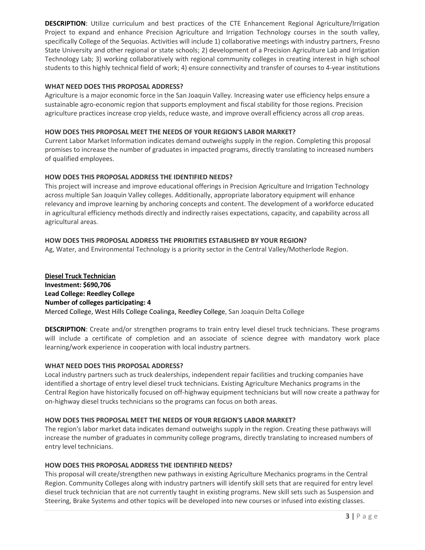**DESCRIPTION**: Utilize curriculum and best practices of the CTE Enhancement Regional Agriculture/Irrigation Project to expand and enhance Precision Agriculture and Irrigation Technology courses in the south valley, specifically College of the Sequoias. Activities will include 1) collaborative meetings with industry partners, Fresno State University and other regional or state schools; 2) development of a Precision Agriculture Lab and Irrigation Technology Lab; 3) working collaboratively with regional community colleges in creating interest in high school students to this highly technical field of work; 4) ensure connectivity and transfer of courses to 4-year institutions

## **WHAT NEED DOES THIS PROPOSAL ADDRESS?**

Agriculture is a major economic force in the San Joaquin Valley. Increasing water use efficiency helps ensure a sustainable agro-economic region that supports employment and fiscal stability for those regions. Precision agriculture practices increase crop yields, reduce waste, and improve overall efficiency across all crop areas.

## **HOW DOES THIS PROPOSAL MEET THE NEEDS OF YOUR REGION'S LABOR MARKET?**

Current Labor Market Information indicates demand outweighs supply in the region. Completing this proposal promises to increase the number of graduates in impacted programs, directly translating to increased numbers of qualified employees.

## **HOW DOES THIS PROPOSAL ADDRESS THE IDENTIFIED NEEDS?**

This project will increase and improve educational offerings in Precision Agriculture and Irrigation Technology across multiple San Joaquin Valley colleges. Additionally, appropriate laboratory equipment will enhance relevancy and improve learning by anchoring concepts and content. The development of a workforce educated in agricultural efficiency methods directly and indirectly raises expectations, capacity, and capability across all agricultural areas.

## **HOW DOES THIS PROPOSAL ADDRESS THE PRIORITIES ESTABLISHED BY YOUR REGION?**

Ag, Water, and Environmental Technology is a priority sector in the Central Valley/Motherlode Region.

**Diesel Truck Technician Investment: \$690,706 Lead College: Reedley College Number of colleges participating: 4**  Merced College, West Hills College Coalinga, Reedley College, San Joaquin Delta College

**DESCRIPTION**: Create and/or strengthen programs to train entry level diesel truck technicians. These programs will include a certificate of completion and an associate of science degree with mandatory work place learning/work experience in cooperation with local industry partners.

#### **WHAT NEED DOES THIS PROPOSAL ADDRESS?**

Local industry partners such as truck dealerships, independent repair facilities and trucking companies have identified a shortage of entry level diesel truck technicians. Existing Agriculture Mechanics programs in the Central Region have historically focused on off-highway equipment technicians but will now create a pathway for on-highway diesel trucks technicians so the programs can focus on both areas.

#### **HOW DOES THIS PROPOSAL MEET THE NEEDS OF YOUR REGION'S LABOR MARKET?**

The region's labor market data indicates demand outweighs supply in the region. Creating these pathways will increase the number of graduates in community college programs, directly translating to increased numbers of entry level technicians.

#### **HOW DOES THIS PROPOSAL ADDRESS THE IDENTIFIED NEEDS?**

This proposal will create/strengthen new pathways in existing Agriculture Mechanics programs in the Central Region. Community Colleges along with industry partners will identify skill sets that are required for entry level diesel truck technician that are not currently taught in existing programs. New skill sets such as Suspension and Steering, Brake Systems and other topics will be developed into new courses or infused into existing classes.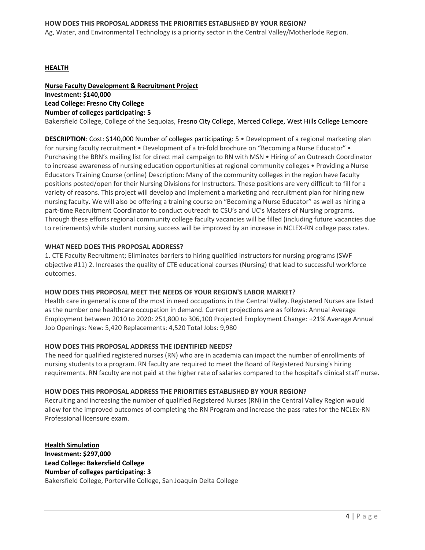Ag, Water, and Environmental Technology is a priority sector in the Central Valley/Motherlode Region.

#### **HEALTH**

## **Nurse Faculty Development & Recruitment Project Investment: \$140,000 Lead College: Fresno City College Number of colleges participating: 5**

Bakersfield College, College of the Sequoias, Fresno City College, Merced College, West Hills College Lemoore

**DESCRIPTION**: Cost: \$140,000 Number of colleges participating: 5 • Development of a regional marketing plan for nursing faculty recruitment • Development of a tri-fold brochure on "Becoming a Nurse Educator" • Purchasing the BRN's mailing list for direct mail campaign to RN with MSN • Hiring of an Outreach Coordinator to increase awareness of nursing education opportunities at regional community colleges • Providing a Nurse Educators Training Course (online) Description: Many of the community colleges in the region have faculty positions posted/open for their Nursing Divisions for Instructors. These positions are very difficult to fill for a variety of reasons. This project will develop and implement a marketing and recruitment plan for hiring new nursing faculty. We will also be offering a training course on "Becoming a Nurse Educator" as well as hiring a part-time Recruitment Coordinator to conduct outreach to CSU's and UC's Masters of Nursing programs. Through these efforts regional community college faculty vacancies will be filled (including future vacancies due to retirements) while student nursing success will be improved by an increase in NCLEX-RN college pass rates.

#### **WHAT NEED DOES THIS PROPOSAL ADDRESS?**

1. CTE Faculty Recruitment; Eliminates barriers to hiring qualified instructors for nursing programs (SWF objective #11) 2. Increases the quality of CTE educational courses (Nursing) that lead to successful workforce outcomes.

#### **HOW DOES THIS PROPOSAL MEET THE NEEDS OF YOUR REGION'S LABOR MARKET?**

Health care in general is one of the most in need occupations in the Central Valley. Registered Nurses are listed as the number one healthcare occupation in demand. Current projections are as follows: Annual Average Employment between 2010 to 2020: 251,800 to 306,100 Projected Employment Change: +21% Average Annual Job Openings: New: 5,420 Replacements: 4,520 Total Jobs: 9,980

## **HOW DOES THIS PROPOSAL ADDRESS THE IDENTIFIED NEEDS?**

The need for qualified registered nurses (RN) who are in academia can impact the number of enrollments of nursing students to a program. RN faculty are required to meet the Board of Registered Nursing's hiring requirements. RN faculty are not paid at the higher rate of salaries compared to the hospital's clinical staff nurse.

#### **HOW DOES THIS PROPOSAL ADDRESS THE PRIORITIES ESTABLISHED BY YOUR REGION?**

Recruiting and increasing the number of qualified Registered Nurses (RN) in the Central Valley Region would allow for the improved outcomes of completing the RN Program and increase the pass rates for the NCLEx-RN Professional licensure exam.

**Health Simulation Investment: \$297,000 Lead College: Bakersfield College Number of colleges participating: 3**  Bakersfield College, Porterville College, San Joaquin Delta College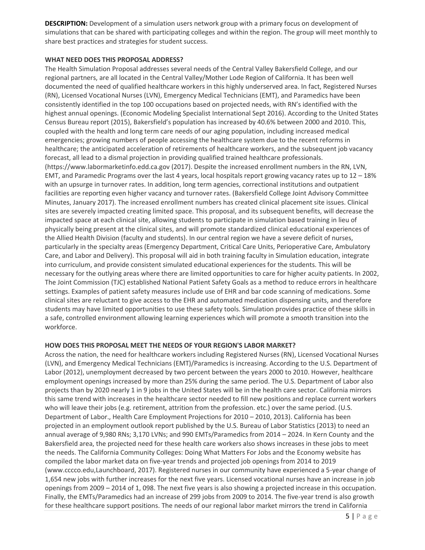**DESCRIPTION:** Development of a simulation users network group with a primary focus on development of simulations that can be shared with participating colleges and within the region. The group will meet monthly to share best practices and strategies for student success.

## **WHAT NEED DOES THIS PROPOSAL ADDRESS?**

The Health Simulation Proposal addresses several needs of the Central Valley Bakersfield College, and our regional partners, are all located in the Central Valley/Mother Lode Region of California. It has been well documented the need of qualified healthcare workers in this highly underserved area. In fact, Registered Nurses (RN), Licensed Vocational Nurses (LVN), Emergency Medical Technicians (EMT), and Paramedics have been consistently identified in the top 100 occupations based on projected needs, with RN's identified with the highest annual openings. (Economic Modeling Specialist International Sept 2016). According to the United States Census Bureau report (2015), Bakersfield's population has increased by 40.6% between 2000 and 2010. This, coupled with the health and long term care needs of our aging population, including increased medical emergencies; growing numbers of people accessing the healthcare system due to the recent reforms in healthcare; the anticipated acceleration of retirements of healthcare workers, and the subsequent job vacancy forecast, all lead to a dismal projection in providing qualified trained healthcare professionals. (https://www.labormarketinfo.edd.ca.gov (2017). Despite the increased enrollment numbers in the RN, LVN, EMT, and Paramedic Programs over the last 4 years, local hospitals report growing vacancy rates up to 12 – 18% with an upsurge in turnover rates. In addition, long term agencies, correctional institutions and outpatient facilities are reporting even higher vacancy and turnover rates. (Bakersfield College Joint Advisory Committee Minutes, January 2017). The increased enrollment numbers has created clinical placement site issues. Clinical sites are severely impacted creating limited space. This proposal, and its subsequent benefits, will decrease the impacted space at each clinical site, allowing students to participate in simulation based training in lieu of physically being present at the clinical sites, and will promote standardized clinical educational experiences of the Allied Health Division (faculty and students). In our central region we have a severe deficit of nurses, particularly in the specialty areas (Emergency Department, Critical Care Units, Perioperative Care, Ambulatory Care, and Labor and Delivery). This proposal will aid in both training faculty in Simulation education, integrate into curriculum, and provide consistent simulated educational experiences for the students. This will be necessary for the outlying areas where there are limited opportunities to care for higher acuity patients. In 2002, The Joint Commission (TJC) established National Patient Safety Goals as a method to reduce errors in healthcare settings. Examples of patient safety measures include use of EHR and bar code scanning of medications. Some clinical sites are reluctant to give access to the EHR and automated medication dispensing units, and therefore students may have limited opportunities to use these safety tools. Simulation provides practice of these skills in a safe, controlled environment allowing learning experiences which will promote a smooth transition into the workforce.

## **HOW DOES THIS PROPOSAL MEET THE NEEDS OF YOUR REGION'S LABOR MARKET?**

Across the nation, the need for healthcare workers including Registered Nurses (RN), Licensed Vocational Nurses (LVN), and Emergency Medical Technicians (EMT)/Paramedics is increasing. According to the U.S. Department of Labor (2012), unemployment decreased by two percent between the years 2000 to 2010. However, healthcare employment openings increased by more than 25% during the same period. The U.S. Department of Labor also projects than by 2020 nearly 1 in 9 jobs in the United States will be in the health care sector. California mirrors this same trend with increases in the healthcare sector needed to fill new positions and replace current workers who will leave their jobs (e.g. retirement, attrition from the profession. etc.) over the same period. (U.S. Department of Labor., Health Care Employment Projections for 2010 – 2010, 2013). California has been projected in an employment outlook report published by the U.S. Bureau of Labor Statistics (2013) to need an annual average of 9,980 RNs; 3,170 LVNs; and 990 EMTs/Paramedics from 2014 – 2024. In Kern County and the Bakersfield area, the projected need for these health care workers also shows increases in these jobs to meet the needs. The California Community Colleges: Doing What Matters For Jobs and the Economy website has compiled the labor market data on five-year trends and projected job openings from 2014 to 2019 (www.cccco.edu,Launchboard, 2017). Registered nurses in our community have experienced a 5-year change of 1,654 new jobs with further increases for the next five years. Licensed vocational nurses have an increase in job openings from 2009 – 2014 of 1, 098. The next five years is also showing a projected increase in this occupation. Finally, the EMTs/Paramedics had an increase of 299 jobs from 2009 to 2014. The five-year trend is also growth for these healthcare support positions. The needs of our regional labor market mirrors the trend in California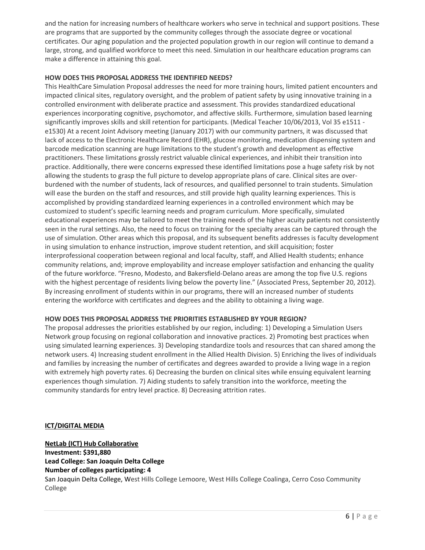and the nation for increasing numbers of healthcare workers who serve in technical and support positions. These are programs that are supported by the community colleges through the associate degree or vocational certificates. Our aging population and the projected population growth in our region will continue to demand a large, strong, and qualified workforce to meet this need. Simulation in our healthcare education programs can make a difference in attaining this goal.

## **HOW DOES THIS PROPOSAL ADDRESS THE IDENTIFIED NEEDS?**

This HealthCare Simulation Proposal addresses the need for more training hours, limited patient encounters and impacted clinical sites, regulatory oversight, and the problem of patient safety by using innovative training in a controlled environment with deliberate practice and assessment. This provides standardized educational experiences incorporating cognitive, psychomotor, and affective skills. Furthermore, simulation based learning significantly improves skills and skill retention for participants. (Medical Teacher 10/06/2013, Vol 35 e1511 e1530) At a recent Joint Advisory meeting (January 2017) with our community partners, it was discussed that lack of access to the Electronic Healthcare Record (EHR), glucose monitoring, medication dispensing system and barcode medication scanning are huge limitations to the student's growth and development as effective practitioners. These limitations grossly restrict valuable clinical experiences, and inhibit their transition into practice. Additionally, there were concerns expressed these identified limitations pose a huge safety risk by not allowing the students to grasp the full picture to develop appropriate plans of care. Clinical sites are overburdened with the number of students, lack of resources, and qualified personnel to train students. Simulation will ease the burden on the staff and resources, and still provide high quality learning experiences. This is accomplished by providing standardized learning experiences in a controlled environment which may be customized to student's specific learning needs and program curriculum. More specifically, simulated educational experiences may be tailored to meet the training needs of the higher acuity patients not consistently seen in the rural settings. Also, the need to focus on training for the specialty areas can be captured through the use of simulation. Other areas which this proposal, and its subsequent benefits addresses is faculty development in using simulation to enhance instruction, improve student retention, and skill acquisition; foster interprofessional cooperation between regional and local faculty, staff, and Allied Health students; enhance community relations, and; improve employability and increase employer satisfaction and enhancing the quality of the future workforce. "Fresno, Modesto, and Bakersfield-Delano areas are among the top five U.S. regions with the highest percentage of residents living below the poverty line." (Associated Press, September 20, 2012). By increasing enrollment of students within in our programs, there will an increased number of students entering the workforce with certificates and degrees and the ability to obtaining a living wage.

## **HOW DOES THIS PROPOSAL ADDRESS THE PRIORITIES ESTABLISHED BY YOUR REGION?**

The proposal addresses the priorities established by our region, including: 1) Developing a Simulation Users Network group focusing on regional collaboration and innovative practices. 2) Promoting best practices when using simulated learning experiences. 3) Developing standardize tools and resources that can shared among the network users. 4) Increasing student enrollment in the Allied Health Division. 5) Enriching the lives of individuals and families by increasing the number of certificates and degrees awarded to provide a living wage in a region with extremely high poverty rates. 6) Decreasing the burden on clinical sites while ensuing equivalent learning experiences though simulation. 7) Aiding students to safely transition into the workforce, meeting the community standards for entry level practice. 8) Decreasing attrition rates.

## **ICT/DIGITAL MEDIA**

## **NetLab (ICT) Hub Collaborative Investment: \$391,880 Lead College: San Joaquin Delta College Number of colleges participating: 4**  San Joaquin Delta College, West Hills College Lemoore, West Hills College Coalinga, Cerro Coso Community College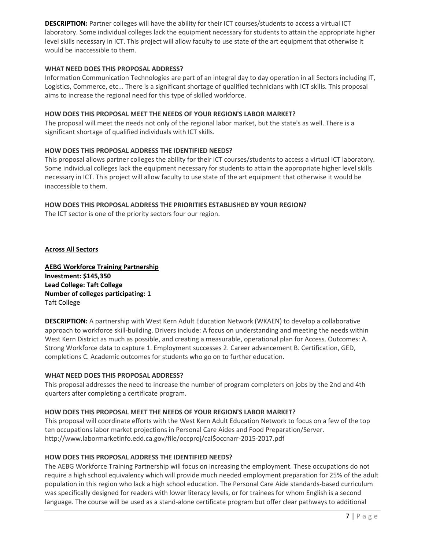**DESCRIPTION:** Partner colleges will have the ability for their ICT courses/students to access a virtual ICT laboratory. Some individual colleges lack the equipment necessary for students to attain the appropriate higher level skills necessary in ICT. This project will allow faculty to use state of the art equipment that otherwise it would be inaccessible to them.

## **WHAT NEED DOES THIS PROPOSAL ADDRESS?**

Information Communication Technologies are part of an integral day to day operation in all Sectors including IT, Logistics, Commerce, etc... There is a significant shortage of qualified technicians with ICT skills. This proposal aims to increase the regional need for this type of skilled workforce.

### **HOW DOES THIS PROPOSAL MEET THE NEEDS OF YOUR REGION'S LABOR MARKET?**

The proposal will meet the needs not only of the regional labor market, but the state's as well. There is a significant shortage of qualified individuals with ICT skills.

### **HOW DOES THIS PROPOSAL ADDRESS THE IDENTIFIED NEEDS?**

This proposal allows partner colleges the ability for their ICT courses/students to access a virtual ICT laboratory. Some individual colleges lack the equipment necessary for students to attain the appropriate higher level skills necessary in ICT. This project will allow faculty to use state of the art equipment that otherwise it would be inaccessible to them.

### **HOW DOES THIS PROPOSAL ADDRESS THE PRIORITIES ESTABLISHED BY YOUR REGION?**

The ICT sector is one of the priority sectors four our region.

**Across All Sectors** 

**AEBG Workforce Training Partnership Investment: \$145,350 Lead College: Taft College Number of colleges participating: 1**  Taft College

**DESCRIPTION:** A partnership with West Kern Adult Education Network (WKAEN) to develop a collaborative approach to workforce skill-building. Drivers include: A focus on understanding and meeting the needs within West Kern District as much as possible, and creating a measurable, operational plan for Access. Outcomes: A. Strong Workforce data to capture 1. Employment successes 2. Career advancement B. Certification, GED, completions C. Academic outcomes for students who go on to further education.

#### **WHAT NEED DOES THIS PROPOSAL ADDRESS?**

This proposal addresses the need to increase the number of program completers on jobs by the 2nd and 4th quarters after completing a certificate program.

#### **HOW DOES THIS PROPOSAL MEET THE NEEDS OF YOUR REGION'S LABOR MARKET?**

This proposal will coordinate efforts with the West Kern Adult Education Network to focus on a few of the top ten occupations labor market projections in Personal Care Aides and Food Preparation/Server. http://www.labormarketinfo.edd.ca.gov/file/occproj/cal\$occnarr-2015-2017.pdf

#### **HOW DOES THIS PROPOSAL ADDRESS THE IDENTIFIED NEEDS?**

The AEBG Workforce Training Partnership will focus on increasing the employment. These occupations do not require a high school equivalency which will provide much needed employment preparation for 25% of the adult population in this region who lack a high school education. The Personal Care Aide standards-based curriculum was specifically designed for readers with lower literacy levels, or for trainees for whom English is a second language. The course will be used as a stand-alone certificate program but offer clear pathways to additional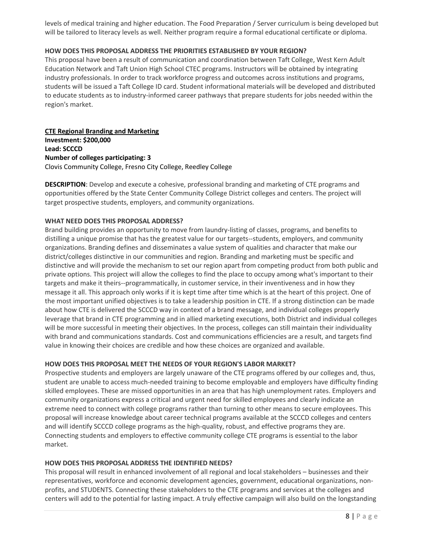levels of medical training and higher education. The Food Preparation / Server curriculum is being developed but will be tailored to literacy levels as well. Neither program require a formal educational certificate or diploma.

## **HOW DOES THIS PROPOSAL ADDRESS THE PRIORITIES ESTABLISHED BY YOUR REGION?**

This proposal have been a result of communication and coordination between Taft College, West Kern Adult Education Network and Taft Union High School CTEC programs. Instructors will be obtained by integrating industry professionals. In order to track workforce progress and outcomes across institutions and programs, students will be issued a Taft College ID card. Student informational materials will be developed and distributed to educate students as to industry-informed career pathways that prepare students for jobs needed within the region's market.

**CTE Regional Branding and Marketing Investment: \$200,000 Lead: SCCCD Number of colleges participating: 3**  Clovis Community College, Fresno City College, Reedley College

**DESCRIPTION**: Develop and execute a cohesive, professional branding and marketing of CTE programs and opportunities offered by the State Center Community College District colleges and centers. The project will target prospective students, employers, and community organizations.

## **WHAT NEED DOES THIS PROPOSAL ADDRESS?**

Brand building provides an opportunity to move from laundry-listing of classes, programs, and benefits to distilling a unique promise that has the greatest value for our targets--students, employers, and community organizations. Branding defines and disseminates a value system of qualities and character that make our district/colleges distinctive in our communities and region. Branding and marketing must be specific and distinctive and will provide the mechanism to set our region apart from competing product from both public and private options. This project will allow the colleges to find the place to occupy among what's important to their targets and make it theirs--programmatically, in customer service, in their inventiveness and in how they message it all. This approach only works if it is kept time after time which is at the heart of this project. One of the most important unified objectives is to take a leadership position in CTE. If a strong distinction can be made about how CTE is delivered the SCCCD way in context of a brand message, and individual colleges properly leverage that brand in CTE programming and in allied marketing executions, both District and individual colleges will be more successful in meeting their objectives. In the process, colleges can still maintain their individuality with brand and communications standards. Cost and communications efficiencies are a result, and targets find value in knowing their choices are credible and how these choices are organized and available.

## **HOW DOES THIS PROPOSAL MEET THE NEEDS OF YOUR REGION'S LABOR MARKET?**

Prospective students and employers are largely unaware of the CTE programs offered by our colleges and, thus, student are unable to access much-needed training to become employable and employers have difficulty finding skilled employees. These are missed opportunities in an area that has high unemployment rates. Employers and community organizations express a critical and urgent need for skilled employees and clearly indicate an extreme need to connect with college programs rather than turning to other means to secure employees. This proposal will increase knowledge about career technical programs available at the SCCCD colleges and centers and will identify SCCCD college programs as the high-quality, robust, and effective programs they are. Connecting students and employers to effective community college CTE programs is essential to the labor market.

## **HOW DOES THIS PROPOSAL ADDRESS THE IDENTIFIED NEEDS?**

This proposal will result in enhanced involvement of all regional and local stakeholders – businesses and their representatives, workforce and economic development agencies, government, educational organizations, nonprofits, and STUDENTS. Connecting these stakeholders to the CTE programs and services at the colleges and centers will add to the potential for lasting impact. A truly effective campaign will also build on the longstanding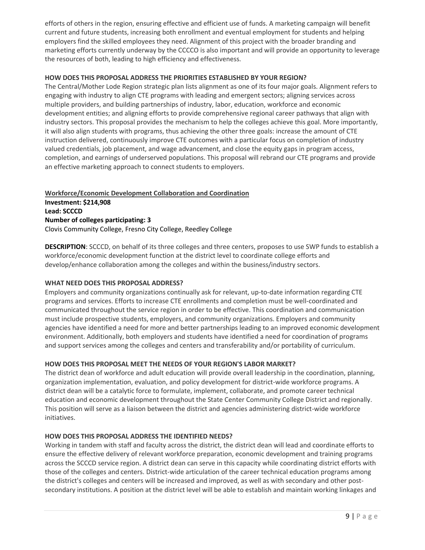efforts of others in the region, ensuring effective and efficient use of funds. A marketing campaign will benefit current and future students, increasing both enrollment and eventual employment for students and helping employers find the skilled employees they need. Alignment of this project with the broader branding and marketing efforts currently underway by the CCCCO is also important and will provide an opportunity to leverage the resources of both, leading to high efficiency and effectiveness.

## **HOW DOES THIS PROPOSAL ADDRESS THE PRIORITIES ESTABLISHED BY YOUR REGION?**

The Central/Mother Lode Region strategic plan lists alignment as one of its four major goals. Alignment refers to engaging with industry to align CTE programs with leading and emergent sectors; aligning services across multiple providers, and building partnerships of industry, labor, education, workforce and economic development entities; and aligning efforts to provide comprehensive regional career pathways that align with industry sectors. This proposal provides the mechanism to help the colleges achieve this goal. More importantly, it will also align students with programs, thus achieving the other three goals: increase the amount of CTE instruction delivered, continuously improve CTE outcomes with a particular focus on completion of industry valued credentials, job placement, and wage advancement, and close the equity gaps in program access, completion, and earnings of underserved populations. This proposal will rebrand our CTE programs and provide an effective marketing approach to connect students to employers.

**Workforce/Economic Development Collaboration and Coordination Investment: \$214,908 Lead: SCCCD Number of colleges participating: 3**  Clovis Community College, Fresno City College, Reedley College

**DESCRIPTION**: SCCCD, on behalf of its three colleges and three centers, proposes to use SWP funds to establish a workforce/economic development function at the district level to coordinate college efforts and develop/enhance collaboration among the colleges and within the business/industry sectors.

## **WHAT NEED DOES THIS PROPOSAL ADDRESS?**

Employers and community organizations continually ask for relevant, up-to-date information regarding CTE programs and services. Efforts to increase CTE enrollments and completion must be well-coordinated and communicated throughout the service region in order to be effective. This coordination and communication must include prospective students, employers, and community organizations. Employers and community agencies have identified a need for more and better partnerships leading to an improved economic development environment. Additionally, both employers and students have identified a need for coordination of programs and support services among the colleges and centers and transferability and/or portability of curriculum.

## **HOW DOES THIS PROPOSAL MEET THE NEEDS OF YOUR REGION'S LABOR MARKET?**

The district dean of workforce and adult education will provide overall leadership in the coordination, planning, organization implementation, evaluation, and policy development for district-wide workforce programs. A district dean will be a catalytic force to formulate, implement, collaborate, and promote career technical education and economic development throughout the State Center Community College District and regionally. This position will serve as a liaison between the district and agencies administering district-wide workforce initiatives.

## **HOW DOES THIS PROPOSAL ADDRESS THE IDENTIFIED NEEDS?**

Working in tandem with staff and faculty across the district, the district dean will lead and coordinate efforts to ensure the effective delivery of relevant workforce preparation, economic development and training programs across the SCCCD service region. A district dean can serve in this capacity while coordinating district efforts with those of the colleges and centers. District-wide articulation of the career technical education programs among the district's colleges and centers will be increased and improved, as well as with secondary and other postsecondary institutions. A position at the district level will be able to establish and maintain working linkages and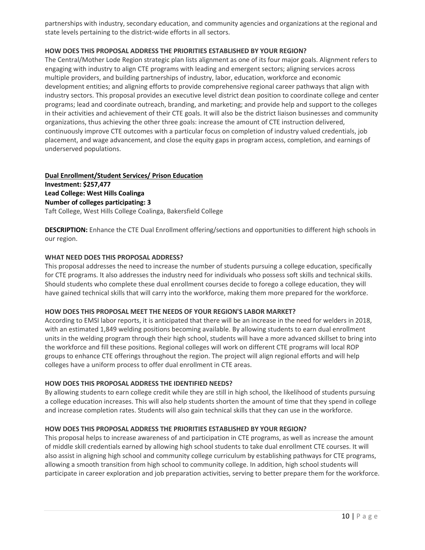partnerships with industry, secondary education, and community agencies and organizations at the regional and state levels pertaining to the district-wide efforts in all sectors.

## **HOW DOES THIS PROPOSAL ADDRESS THE PRIORITIES ESTABLISHED BY YOUR REGION?**

The Central/Mother Lode Region strategic plan lists alignment as one of its four major goals. Alignment refers to engaging with industry to align CTE programs with leading and emergent sectors; aligning services across multiple providers, and building partnerships of industry, labor, education, workforce and economic development entities; and aligning efforts to provide comprehensive regional career pathways that align with industry sectors. This proposal provides an executive level district dean position to coordinate college and center programs; lead and coordinate outreach, branding, and marketing; and provide help and support to the colleges in their activities and achievement of their CTE goals. It will also be the district liaison businesses and community organizations, thus achieving the other three goals: increase the amount of CTE instruction delivered, continuously improve CTE outcomes with a particular focus on completion of industry valued credentials, job placement, and wage advancement, and close the equity gaps in program access, completion, and earnings of underserved populations.

## **Dual Enrollment/Student Services/ Prison Education Investment: \$257,477 Lead College: West Hills Coalinga Number of colleges participating: 3**  Taft College, West Hills College Coalinga, Bakersfield College

**DESCRIPTION:** Enhance the CTE Dual Enrollment offering/sections and opportunities to different high schools in our region.

### **WHAT NEED DOES THIS PROPOSAL ADDRESS?**

This proposal addresses the need to increase the number of students pursuing a college education, specifically for CTE programs. It also addresses the industry need for individuals who possess soft skills and technical skills. Should students who complete these dual enrollment courses decide to forego a college education, they will have gained technical skills that will carry into the workforce, making them more prepared for the workforce.

#### **HOW DOES THIS PROPOSAL MEET THE NEEDS OF YOUR REGION'S LABOR MARKET?**

According to EMSI labor reports, it is anticipated that there will be an increase in the need for welders in 2018, with an estimated 1,849 welding positions becoming available. By allowing students to earn dual enrollment units in the welding program through their high school, students will have a more advanced skillset to bring into the workforce and fill these positions. Regional colleges will work on different CTE programs will local ROP groups to enhance CTE offerings throughout the region. The project will align regional efforts and will help colleges have a uniform process to offer dual enrollment in CTE areas.

#### **HOW DOES THIS PROPOSAL ADDRESS THE IDENTIFIED NEEDS?**

By allowing students to earn college credit while they are still in high school, the likelihood of students pursuing a college education increases. This will also help students shorten the amount of time that they spend in college and increase completion rates. Students will also gain technical skills that they can use in the workforce.

#### **HOW DOES THIS PROPOSAL ADDRESS THE PRIORITIES ESTABLISHED BY YOUR REGION?**

This proposal helps to increase awareness of and participation in CTE programs, as well as increase the amount of middle skill credentials earned by allowing high school students to take dual enrollment CTE courses. It will also assist in aligning high school and community college curriculum by establishing pathways for CTE programs, allowing a smooth transition from high school to community college. In addition, high school students will participate in career exploration and job preparation activities, serving to better prepare them for the workforce.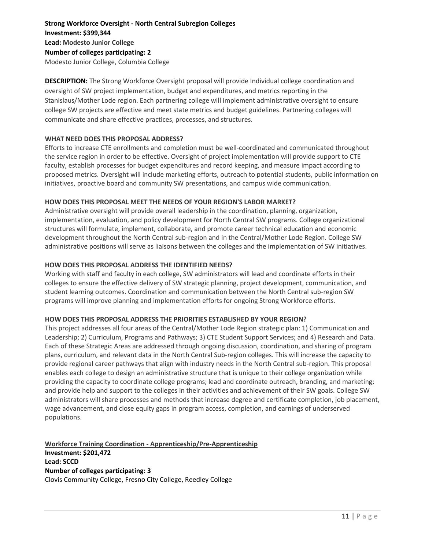**Strong Workforce Oversight - North Central Subregion Colleges Investment: \$399,344 Lead: Modesto Junior College Number of colleges participating: 2** Modesto Junior College, Columbia College

**DESCRIPTION:** The Strong Workforce Oversight proposal will provide Individual college coordination and oversight of SW project implementation, budget and expenditures, and metrics reporting in the Stanislaus/Mother Lode region. Each partnering college will implement administrative oversight to ensure college SW projects are effective and meet state metrics and budget guidelines. Partnering colleges will communicate and share effective practices, processes, and structures.

### **WHAT NEED DOES THIS PROPOSAL ADDRESS?**

Efforts to increase CTE enrollments and completion must be well-coordinated and communicated throughout the service region in order to be effective. Oversight of project implementation will provide support to CTE faculty, establish processes for budget expenditures and record keeping, and measure impact according to proposed metrics. Oversight will include marketing efforts, outreach to potential students, public information on initiatives, proactive board and community SW presentations, and campus wide communication.

### **HOW DOES THIS PROPOSAL MEET THE NEEDS OF YOUR REGION'S LABOR MARKET?**

Administrative oversight will provide overall leadership in the coordination, planning, organization, implementation, evaluation, and policy development for North Central SW programs. College organizational structures will formulate, implement, collaborate, and promote career technical education and economic development throughout the North Central sub-region and in the Central/Mother Lode Region. College SW administrative positions will serve as liaisons between the colleges and the implementation of SW initiatives.

### **HOW DOES THIS PROPOSAL ADDRESS THE IDENTIFIED NEEDS?**

Working with staff and faculty in each college, SW administrators will lead and coordinate efforts in their colleges to ensure the effective delivery of SW strategic planning, project development, communication, and student learning outcomes. Coordination and communication between the North Central sub-region SW programs will improve planning and implementation efforts for ongoing Strong Workforce efforts.

#### **HOW DOES THIS PROPOSAL ADDRESS THE PRIORITIES ESTABLISHED BY YOUR REGION?**

This project addresses all four areas of the Central/Mother Lode Region strategic plan: 1) Communication and Leadership; 2) Curriculum, Programs and Pathways; 3) CTE Student Support Services; and 4) Research and Data. Each of these Strategic Areas are addressed through ongoing discussion, coordination, and sharing of program plans, curriculum, and relevant data in the North Central Sub-region colleges. This will increase the capacity to provide regional career pathways that align with industry needs in the North Central sub-region. This proposal enables each college to design an administrative structure that is unique to their college organization while providing the capacity to coordinate college programs; lead and coordinate outreach, branding, and marketing; and provide help and support to the colleges in their activities and achievement of their SW goals. College SW administrators will share processes and methods that increase degree and certificate completion, job placement, wage advancement, and close equity gaps in program access, completion, and earnings of underserved populations.

## **Workforce Training Coordination - Apprenticeship/Pre-Apprenticeship Investment: \$201,472 Lead: SCCD Number of colleges participating: 3**  Clovis Community College, Fresno City College, Reedley College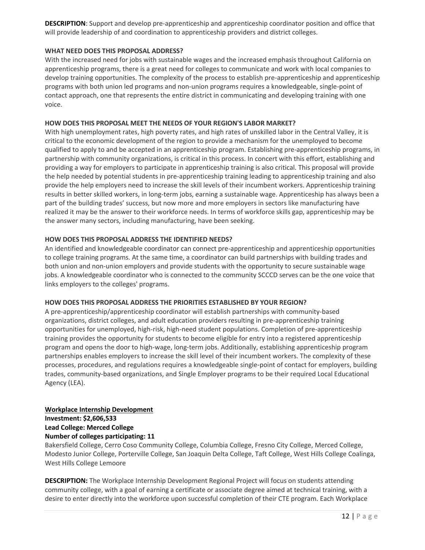**DESCRIPTION**: Support and develop pre-apprenticeship and apprenticeship coordinator position and office that will provide leadership of and coordination to apprenticeship providers and district colleges.

## **WHAT NEED DOES THIS PROPOSAL ADDRESS?**

With the increased need for jobs with sustainable wages and the increased emphasis throughout California on apprenticeship programs, there is a great need for colleges to communicate and work with local companies to develop training opportunities. The complexity of the process to establish pre-apprenticeship and apprenticeship programs with both union led programs and non-union programs requires a knowledgeable, single-point of contact approach, one that represents the entire district in communicating and developing training with one voice.

## **HOW DOES THIS PROPOSAL MEET THE NEEDS OF YOUR REGION'S LABOR MARKET?**

With high unemployment rates, high poverty rates, and high rates of unskilled labor in the Central Valley, it is critical to the economic development of the region to provide a mechanism for the unemployed to become qualified to apply to and be accepted in an apprenticeship program. Establishing pre-apprenticeship programs, in partnership with community organizations, is critical in this process. In concert with this effort, establishing and providing a way for employers to participate in apprenticeship training is also critical. This proposal will provide the help needed by potential students in pre-apprenticeship training leading to apprenticeship training and also provide the help employers need to increase the skill levels of their incumbent workers. Apprenticeship training results in better skilled workers, in long-term jobs, earning a sustainable wage. Apprenticeship has always been a part of the building trades' success, but now more and more employers in sectors like manufacturing have realized it may be the answer to their workforce needs. In terms of workforce skills gap, apprenticeship may be the answer many sectors, including manufacturing, have been seeking.

## **HOW DOES THIS PROPOSAL ADDRESS THE IDENTIFIED NEEDS?**

An identified and knowledgeable coordinator can connect pre-apprenticeship and apprenticeship opportunities to college training programs. At the same time, a coordinator can build partnerships with building trades and both union and non-union employers and provide students with the opportunity to secure sustainable wage jobs. A knowledgeable coordinator who is connected to the community SCCCD serves can be the one voice that links employers to the colleges' programs.

#### **HOW DOES THIS PROPOSAL ADDRESS THE PRIORITIES ESTABLISHED BY YOUR REGION?**

A pre-apprenticeship/apprenticeship coordinator will establish partnerships with community-based organizations, district colleges, and adult education providers resulting in pre-apprenticeship training opportunities for unemployed, high-risk, high-need student populations. Completion of pre-apprenticeship training provides the opportunity for students to become eligible for entry into a registered apprenticeship program and opens the door to high-wage, long-term jobs. Additionally, establishing apprenticeship program partnerships enables employers to increase the skill level of their incumbent workers. The complexity of these processes, procedures, and regulations requires a knowledgeable single-point of contact for employers, building trades, community-based organizations, and Single Employer programs to be their required Local Educational Agency (LEA).

## **Workplace Internship Development Investment: \$2,606,533 Lead College: Merced College**

#### **Number of colleges participating: 11**

Bakersfield College, Cerro Coso Community College, Columbia College, Fresno City College, Merced College, Modesto Junior College, Porterville College, San Joaquin Delta College, Taft College, West Hills College Coalinga, West Hills College Lemoore

**DESCRIPTION:** The Workplace Internship Development Regional Project will focus on students attending community college, with a goal of earning a certificate or associate degree aimed at technical training, with a desire to enter directly into the workforce upon successful completion of their CTE program. Each Workplace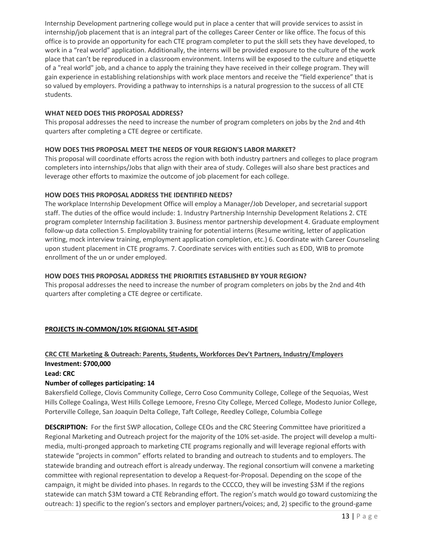Internship Development partnering college would put in place a center that will provide services to assist in internship/job placement that is an integral part of the colleges Career Center or like office. The focus of this office is to provide an opportunity for each CTE program completer to put the skill sets they have developed, to work in a "real world" application. Additionally, the interns will be provided exposure to the culture of the work place that can't be reproduced in a classroom environment. Interns will be exposed to the culture and etiquette of a "real world" job, and a chance to apply the training they have received in their college program. They will gain experience in establishing relationships with work place mentors and receive the "field experience" that is so valued by employers. Providing a pathway to internships is a natural progression to the success of all CTE students.

## **WHAT NEED DOES THIS PROPOSAL ADDRESS?**

This proposal addresses the need to increase the number of program completers on jobs by the 2nd and 4th quarters after completing a CTE degree or certificate.

## **HOW DOES THIS PROPOSAL MEET THE NEEDS OF YOUR REGION'S LABOR MARKET?**

This proposal will coordinate efforts across the region with both industry partners and colleges to place program completers into internships/Jobs that align with their area of study. Colleges will also share best practices and leverage other efforts to maximize the outcome of job placement for each college.

### **HOW DOES THIS PROPOSAL ADDRESS THE IDENTIFIED NEEDS?**

The workplace Internship Development Office will employ a Manager/Job Developer, and secretarial support staff. The duties of the office would include: 1. Industry Partnership Internship Development Relations 2. CTE program completer Internship facilitation 3. Business mentor partnership development 4. Graduate employment follow-up data collection 5. Employability training for potential interns (Resume writing, letter of application writing, mock interview training, employment application completion, etc.) 6. Coordinate with Career Counseling upon student placement in CTE programs. 7. Coordinate services with entities such as EDD, WIB to promote enrollment of the un or under employed.

## **HOW DOES THIS PROPOSAL ADDRESS THE PRIORITIES ESTABLISHED BY YOUR REGION?**

This proposal addresses the need to increase the number of program completers on jobs by the 2nd and 4th quarters after completing a CTE degree or certificate.

## **PROJECTS IN-COMMON/10% REGIONAL SET-ASIDE**

## **CRC CTE Marketing & Outreach: Parents, Students, Workforces Dev't Partners, Industry/Employers Investment: \$700,000**

### **Lead: CRC**

## **Number of colleges participating: 14**

Bakersfield College, Clovis Community College, Cerro Coso Community College, College of the Sequoias, West Hills College Coalinga, West Hills College Lemoore, Fresno City College, Merced College, Modesto Junior College, Porterville College, San Joaquin Delta College, Taft College, Reedley College, Columbia College

**DESCRIPTION:** For the first SWP allocation, College CEOs and the CRC Steering Committee have prioritized a Regional Marketing and Outreach project for the majority of the 10% set-aside. The project will develop a multimedia, multi-pronged approach to marketing CTE programs regionally and will leverage regional efforts with statewide "projects in common" efforts related to branding and outreach to students and to employers. The statewide branding and outreach effort is already underway. The regional consortium will convene a marketing committee with regional representation to develop a Request-for-Proposal. Depending on the scope of the campaign, it might be divided into phases. In regards to the CCCCO, they will be investing \$3M if the regions statewide can match \$3M toward a CTE Rebranding effort. The region's match would go toward customizing the outreach: 1) specific to the region's sectors and employer partners/voices; and, 2) specific to the ground-game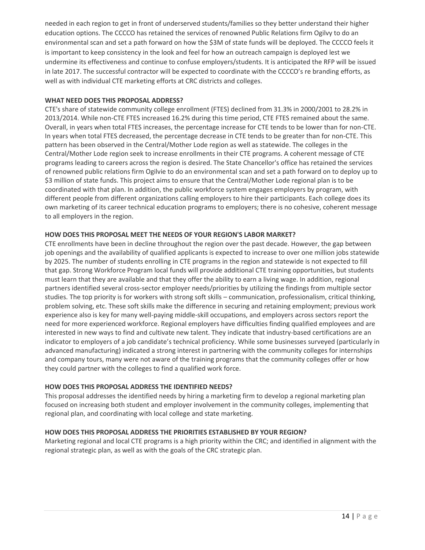needed in each region to get in front of underserved students/families so they better understand their higher education options. The CCCCO has retained the services of renowned Public Relations firm Ogilvy to do an environmental scan and set a path forward on how the \$3M of state funds will be deployed. The CCCCO feels it is important to keep consistency in the look and feel for how an outreach campaign is deployed lest we undermine its effectiveness and continue to confuse employers/students. It is anticipated the RFP will be issued in late 2017. The successful contractor will be expected to coordinate with the CCCCO's re branding efforts, as well as with individual CTE marketing efforts at CRC districts and colleges.

## **WHAT NEED DOES THIS PROPOSAL ADDRESS?**

CTE's share of statewide community college enrollment (FTES) declined from 31.3% in 2000/2001 to 28.2% in 2013/2014. While non-CTE FTES increased 16.2% during this time period, CTE FTES remained about the same. Overall, in years when total FTES increases, the percentage increase for CTE tends to be lower than for non-CTE. In years when total FTES decreased, the percentage decrease in CTE tends to be greater than for non-CTE. This pattern has been observed in the Central/Mother Lode region as well as statewide. The colleges in the Central/Mother Lode region seek to increase enrollments in their CTE programs. A coherent message of CTE programs leading to careers across the region is desired. The State Chancellor's office has retained the services of renowned public relations firm Ogilvie to do an environmental scan and set a path forward on to deploy up to \$3 million of state funds. This project aims to ensure that the Central/Mother Lode regional plan is to be coordinated with that plan. In addition, the public workforce system engages employers by program, with different people from different organizations calling employers to hire their participants. Each college does its own marketing of its career technical education programs to employers; there is no cohesive, coherent message to all employers in the region.

## **HOW DOES THIS PROPOSAL MEET THE NEEDS OF YOUR REGION'S LABOR MARKET?**

CTE enrollments have been in decline throughout the region over the past decade. However, the gap between job openings and the availability of qualified applicants is expected to increase to over one million jobs statewide by 2025. The number of students enrolling in CTE programs in the region and statewide is not expected to fill that gap. Strong Workforce Program local funds will provide additional CTE training opportunities, but students must learn that they are available and that they offer the ability to earn a living wage. In addition, regional partners identified several cross-sector employer needs/priorities by utilizing the findings from multiple sector studies. The top priority is for workers with strong soft skills – communication, professionalism, critical thinking, problem solving, etc. These soft skills make the difference in securing and retaining employment; previous work experience also is key for many well-paying middle-skill occupations, and employers across sectors report the need for more experienced workforce. Regional employers have difficulties finding qualified employees and are interested in new ways to find and cultivate new talent. They indicate that industry-based certifications are an indicator to employers of a job candidate's technical proficiency. While some businesses surveyed (particularly in advanced manufacturing) indicated a strong interest in partnering with the community colleges for internships and company tours, many were not aware of the training programs that the community colleges offer or how they could partner with the colleges to find a qualified work force.

#### **HOW DOES THIS PROPOSAL ADDRESS THE IDENTIFIED NEEDS?**

This proposal addresses the identified needs by hiring a marketing firm to develop a regional marketing plan focused on increasing both student and employer involvement in the community colleges, implementing that regional plan, and coordinating with local college and state marketing.

## **HOW DOES THIS PROPOSAL ADDRESS THE PRIORITIES ESTABLISHED BY YOUR REGION?**

Marketing regional and local CTE programs is a high priority within the CRC; and identified in alignment with the regional strategic plan, as well as with the goals of the CRC strategic plan.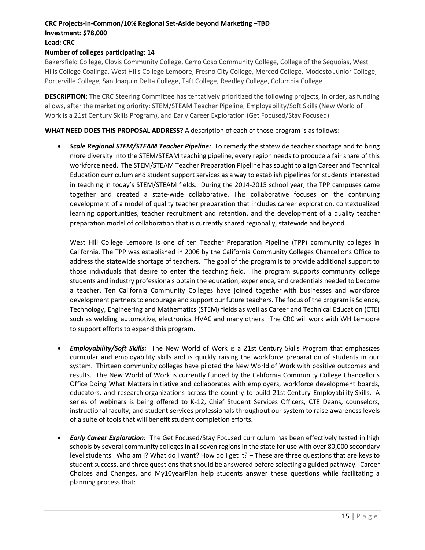#### **CRC Projects-In-Common/10% Regional Set-Aside beyond Marketing –TBD**

## **Investment: \$78,000**

## **Lead: CRC**

## **Number of colleges participating: 14**

Bakersfield College, Clovis Community College, Cerro Coso Community College, College of the Sequoias, West Hills College Coalinga, West Hills College Lemoore, Fresno City College, Merced College, Modesto Junior College, Porterville College, San Joaquin Delta College, Taft College, Reedley College, Columbia College

**DESCRIPTION**: The CRC Steering Committee has tentatively prioritized the following projects, in order, as funding allows, after the marketing priority: STEM/STEAM Teacher Pipeline, Employability/Soft Skills (New World of Work is a 21st Century Skills Program), and Early Career Exploration (Get Focused/Stay Focused).

**WHAT NEED DOES THIS PROPOSAL ADDRESS?** A description of each of those program is as follows:

 *Scale Regional STEM/STEAM Teacher Pipeline:*To remedy the statewide teacher shortage and to bring more diversity into the STEM/STEAM teaching pipeline, every region needs to produce a fair share of this workforce need. The STEM/STEAM Teacher Preparation Pipeline has sought to align Career and Technical Education curriculum and student support services as a way to establish pipelines for students interested in teaching in today's STEM/STEAM fields. During the 2014-2015 school year, the TPP campuses came together and created a state-wide collaborative. This collaborative focuses on the continuing development of a model of quality teacher preparation that includes career exploration, contextualized learning opportunities, teacher recruitment and retention, and the development of a quality teacher preparation model of collaboration that is currently shared regionally, statewide and beyond.

West Hill College Lemoore is one of ten Teacher Preparation Pipeline (TPP) community colleges in California. The TPP was established in 2006 by the California Community Colleges Chancellor's Office to address the statewide shortage of teachers. The goal of the program is to provide additional support to those individuals that desire to enter the teaching field. The program supports community college students and industry professionals obtain the education, experience, and credentials needed to become a teacher. Ten California Community Colleges have joined together with businesses and workforce development partners to encourage and support our future teachers. The focus of the program is Science, Technology, Engineering and Mathematics (STEM) fields as well as Career and Technical Education (CTE) such as welding, automotive, electronics, HVAC and many others. The CRC will work with WH Lemoore to support efforts to expand this program.

- *Employability/Soft Skills:*The New World of Work is a 21st Century Skills Program that emphasizes curricular and employability skills and is quickly raising the workforce preparation of students in our system. Thirteen community colleges have piloted the New World of Work with positive outcomes and results. The New World of Work is currently funded by the California Community College Chancellor's Office Doing What Matters initiative and collaborates with employers, workforce development boards, educators, and research organizations across the country to build 21st Century Employability Skills. A series of webinars is being offered to K-12, Chief Student Services Officers, CTE Deans, counselors, instructional faculty, and student services professionals throughout our system to raise awareness levels of a suite of tools that will benefit student completion efforts.
- *Early Career Exploration:* The Get Focused/Stay Focused curriculum has been effectively tested in high schools by several community colleges in all seven regions in the state for use with over 80,000 secondary level students. Who am I? What do I want? How do I get it? – These are three questions that are keys to student success, and three questions that should be answered before selecting a guided pathway. Career Choices and Changes, and My10yearPlan help students answer these questions while facilitating a planning process that: